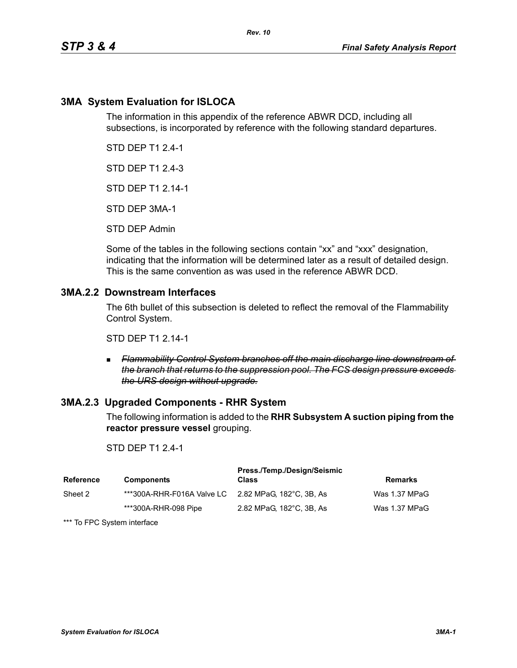# **3MA System Evaluation for ISLOCA**

The information in this appendix of the reference ABWR DCD, including all subsections, is incorporated by reference with the following standard departures.

*Rev. 10*

STD DEP T1 2.4-1

STD DEP T1 2.4-3

STD DEP T1 2.14-1

STD DEP 3MA-1

STD DEP Admin

Some of the tables in the following sections contain "xx" and "xxx" designation, indicating that the information will be determined later as a result of detailed design. This is the same convention as was used in the reference ABWR DCD.

# **3MA.2.2 Downstream Interfaces**

The 6th bullet of this subsection is deleted to reflect the removal of the Flammability Control System.

STD DEP T1 2.14-1

 *Flammability Control System branches off the main discharge line downstream of the branch that returns to the suppression pool. The FCS design pressure exceeds the URS design without upgrade.*

### **3MA.2.3 Upgraded Components - RHR System**

The following information is added to the **RHR Subsystem A suction piping from the reactor pressure vessel** grouping.

### STD DEP T1 2.4-1

| <b>Reference</b> | <b>Components</b>                                   | Press./Temp./Design/Seismic<br>Class | <b>Remarks</b> |
|------------------|-----------------------------------------------------|--------------------------------------|----------------|
| Sheet 2          | ***300A-RHR-F016A Valve LC 2.82 MPaG. 182°C. 3B. As |                                      | Was 1.37 MPaG  |
|                  | ***300A-RHR-098 Pipe                                | 2.82 MPaG, 182°C, 3B, As             | Was 1.37 MPaG  |

\*\*\* To FPC System interface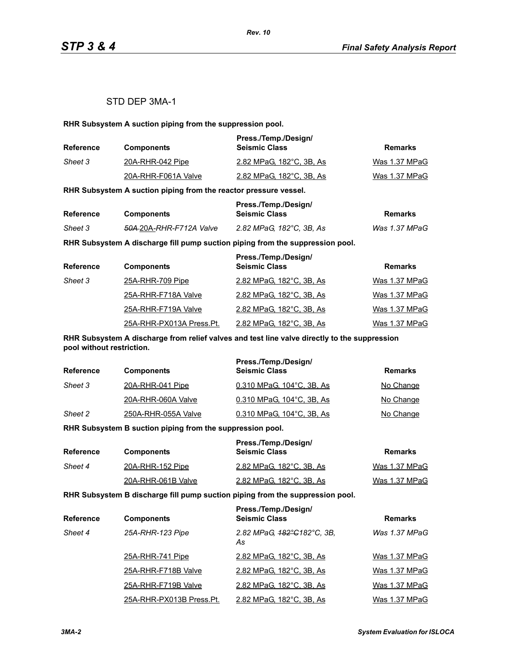### STD DEP 3MA-1

**RHR Subsystem A suction piping from the suppression pool.**

| <b>Reference</b> | <b>Components</b>   | Press./Temp./Design/<br><b>Seismic Class</b> | Remarks       |
|------------------|---------------------|----------------------------------------------|---------------|
| Sheet 3          | 20A-RHR-042 Pipe    | 2.82 MPaG. 182°C. 3B. As                     | Was 1.37 MPaG |
|                  | 20A-RHR-F061A Valve | 2.82 MPaG, 182°C, 3B, As                     | Was 1.37 MPaG |

**RHR Subsystem A suction piping from the reactor pressure vessel.**

| <b>Reference</b> |                                     | Press./Temp./Design/     | Remarks       |
|------------------|-------------------------------------|--------------------------|---------------|
|                  | <b>Components</b>                   | <b>Seismic Class</b>     |               |
| Sheet 3          | <del>50A 2</del> 0A-RHR-F712A Valve | 2.82 MPaG, 182°C, 3B, As | Was 1.37 MPaG |

**RHR Subsystem A discharge fill pump suction piping from the suppression pool.**

| <b>Reference</b> | <b>Components</b>        | Press./Temp./Design/<br><b>Seismic Class</b> | <b>Remarks</b> |
|------------------|--------------------------|----------------------------------------------|----------------|
| Sheet 3          | 25A-RHR-709 Pipe         | 2.82 MPaG, 182°C, 3B, As                     | Was 1.37 MPaG  |
|                  | 25A-RHR-F718A Valve      | 2.82 MPaG, 182°C, 3B, As                     | Was 1.37 MPaG  |
|                  | 25A-RHR-F719A Valve      | 2.82 MPaG, 182°C, 3B, As                     | Was 1.37 MPaG  |
|                  | 25A-RHR-PX013A Press.Pt. | 2.82 MPaG, 182°C, 3B, As                     | Was 1.37 MPaG  |

**RHR Subsystem A discharge from relief valves and test line valve directly to the suppression pool without restriction.**

| <b>Reference</b> | <b>Components</b>   | Press./Temp./Design/<br><b>Seismic Class</b> | Remarks   |
|------------------|---------------------|----------------------------------------------|-----------|
| Sheet 3          | 20A-RHR-041 Pipe    | 0.310 MPaG, 104°C, 3B, As                    | No Change |
|                  | 20A-RHR-060A Valve  | 0.310 MPaG, 104°C, 3B, As                    | No Change |
| Sheet 2          | 250A-RHR-055A Valve | 0.310 MPaG, 104°C, 3B, As                    | No Change |

**RHR Subsystem B suction piping from the suppression pool.**

| Reference | <b>Components</b>  | Press./Temp./Design/<br><b>Seismic Class</b> | Remarks       |
|-----------|--------------------|----------------------------------------------|---------------|
| Sheet 4   | 20A-RHR-152 Pipe   | 2.82 MPaG, 182°C, 3B, As                     | Was 1.37 MPaG |
|           | 20A-RHR-061B Valve | 2.82 MPaG, 182°C, 3B, As                     | Was 1.37 MPaG |

**RHR Subsystem B discharge fill pump suction piping from the suppression pool.**

| <b>Reference</b> | <b>Components</b>        | Press./Temp./Design/<br><b>Seismic Class</b> | <b>Remarks</b> |
|------------------|--------------------------|----------------------------------------------|----------------|
| Sheet 4          | 25A-RHR-123 Pipe         | 2.82 MPaG, 182°C182°C, 3B,<br>As             | Was 1.37 MPaG  |
|                  | 25A-RHR-741 Pipe         | 2.82 MPaG, 182°C, 3B, As                     | Was 1.37 MPaG  |
|                  | 25A-RHR-F718B Valve      | 2.82 MPaG, 182°C, 3B, As                     | Was 1.37 MPaG  |
|                  | 25A-RHR-F719B Valve      | 2.82 MPaG, 182°C, 3B, As                     | Was 1.37 MPaG  |
|                  | 25A-RHR-PX013B Press.Pt. | 2.82 MPaG, 182°C, 3B, As                     | Was 1.37 MPaG  |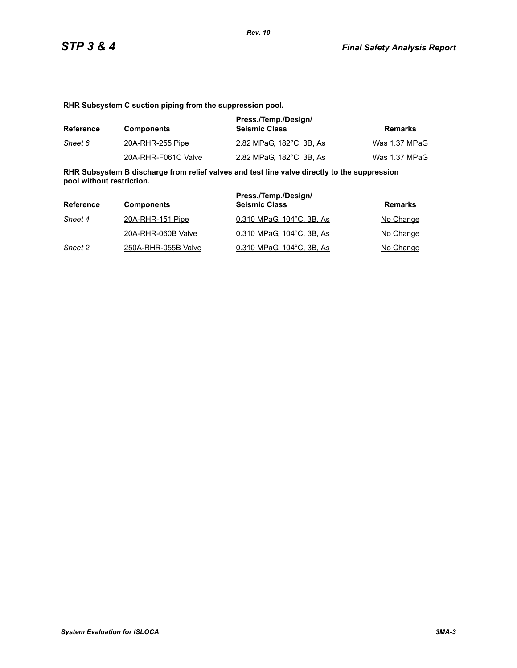**RHR Subsystem C suction piping from the suppression pool.**

| Reference | <b>Components</b>   | Press./Temp./Design/<br><b>Seismic Class</b> | Remarks       |
|-----------|---------------------|----------------------------------------------|---------------|
| Sheet 6   | 20A-RHR-255 Pipe    | 2.82 MPaG, 182°C, 3B, As                     | Was 1.37 MPaG |
|           | 20A-RHR-F061C Valve | 2.82 MPaG. 182°C. 3B. As                     | Was 1.37 MPaG |

**RHR Subsystem B discharge from relief valves and test line valve directly to the suppression pool without restriction.**

| Reference | <b>Components</b>   | Press./Temp./Design/<br><b>Seismic Class</b> | Remarks   |
|-----------|---------------------|----------------------------------------------|-----------|
| Sheet 4   | 20A-RHR-151 Pipe    | 0.310 MPaG, 104°C, 3B, As                    | No Change |
|           | 20A-RHR-060B Valve  | 0.310 MPaG. 104°C. 3B. As                    | No Change |
| Sheet 2   | 250A-RHR-055B Valve | 0.310 MPaG, 104°C, 3B, As                    | No Change |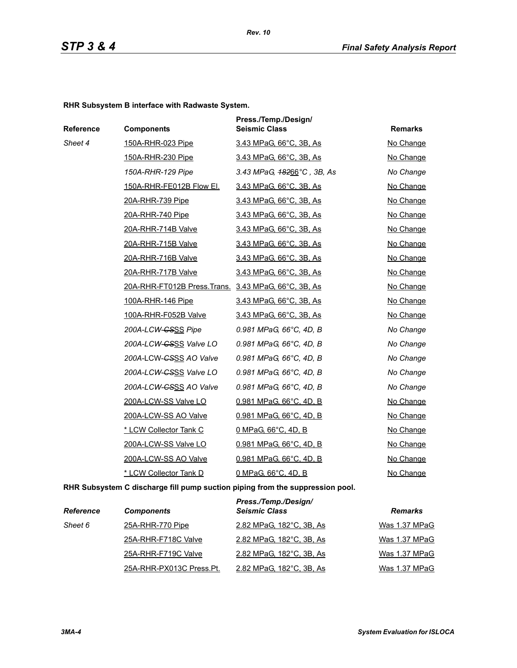*Rev. 10*

**RHR Subsystem B interface with Radwaste System.**

| Reference | <b>Components</b>                                   | Press./Temp./Design/<br><b>Seismic Class</b> | <b>Remarks</b> |
|-----------|-----------------------------------------------------|----------------------------------------------|----------------|
| Sheet 4   | 150A-RHR-023 Pipe                                   | 3.43 MPaG, 66°C, 3B, As                      | No Change      |
|           | 150A-RHR-230 Pipe                                   | 3.43 MPaG, 66°C, 3B, As                      | No Change      |
|           | 150A-RHR-129 Pipe                                   | 3.43 MPaG, $48266^{\circ}$ C, 3B, As         | No Change      |
|           | 150A-RHR-FE012B Flow El.                            | 3.43 MPaG, 66°C, 3B, As                      | No Change      |
|           | 20A-RHR-739 Pipe                                    | 3.43 MPaG, 66°C, 3B, As                      | No Change      |
|           | 20A-RHR-740 Pipe                                    | 3.43 MPaG, 66°C, 3B, As                      | No Change      |
|           | 20A-RHR-714B Valve                                  | 3.43 MPaG, 66°C, 3B, As                      | No Change      |
|           | 20A-RHR-715B Valve                                  | 3.43 MPaG, 66°C, 3B, As                      | No Change      |
|           | 20A-RHR-716B Valve                                  | 3.43 MPaG, 66°C, 3B, As                      | No Change      |
|           | 20A-RHR-717B Valve                                  | 3.43 MPaG, 66°C, 3B, As                      | No Change      |
|           | 20A-RHR-FT012B Press.Trans. 3.43 MPaG, 66°C, 3B, As |                                              | No Change      |
|           | 100A-RHR-146 Pipe                                   | 3.43 MPaG, 66°C, 3B, As                      | No Change      |
|           | 100A-RHR-F052B Valve                                | 3.43 MPaG, 66°C, 3B, As                      | No Change      |
|           | 200A-LCW-CSSS Pipe                                  | 0.981 MPaG, 66°C, 4D, B                      | No Change      |
|           | 200A-LCW-CSSS Valve LO                              | 0.981 MPaG, 66°C, 4D, B                      | No Change      |
|           | 200A-LCW- <del>CSSS</del> AO Valve                  | 0.981 MPaG, 66°C, 4D, B                      | No Change      |
|           | 200A-LCW- <del>CS</del> SS Valve LO                 | 0.981 MPaG, 66°C, 4D, B                      | No Change      |
|           | 200A-LCW- <del>CSSS</del> AO Valve                  | 0.981 MPaG, 66°C, 4D, B                      | No Change      |
|           | 200A-LCW-SS Valve LO                                | <u>0.981 MPaG, 66°C, 4D, B</u>               | No Change      |
|           | 200A-LCW-SS AO Valve                                | 0.981 MPaG, 66°C, 4D, B                      | No Change      |
|           | * LCW Collector Tank C                              | 0 MPaG, 66°C, 4D, B                          | No Change      |
|           | 200A-LCW-SS Valve LO                                | 0.981 MPaG, 66°C, 4D, B                      | No Change      |
|           | 200A-LCW-SS AO Valve                                | 0.981 MPaG, 66°C, 4D, B                      | No Change      |
|           | * LCW Collector Tank D                              | 0 MPaG, 66°C, 4D, B                          | No Change      |

**RHR Subsystem C discharge fill pump suction piping from the suppression pool.**

| <b>Reference</b> | <b>Components</b>        | Press./Temp./Design/<br><b>Seismic Class</b> | <b>Remarks</b> |
|------------------|--------------------------|----------------------------------------------|----------------|
| Sheet 6          | 25A-RHR-770 Pipe         | 2.82 MPaG, 182°C, 3B, As                     | Was 1.37 MPaG  |
|                  | 25A-RHR-F718C Valve      | 2.82 MPaG, 182°C, 3B, As                     | Was 1.37 MPaG  |
|                  | 25A-RHR-F719C Valve      | 2.82 MPaG, 182°C, 3B, As                     | Was 1.37 MPaG  |
|                  | 25A-RHR-PX013C Press.Pt. | 2.82 MPaG, 182°C, 3B, As                     | Was 1.37 MPaG  |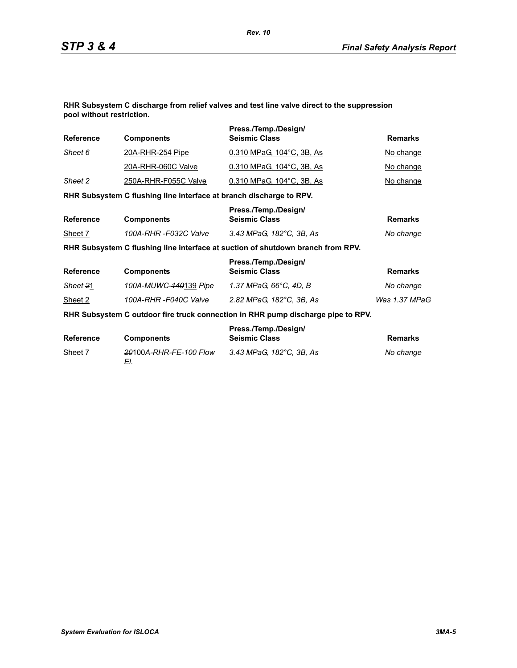**RHR Subsystem C discharge from relief valves and test line valve direct to the suppression pool without restriction.**

| <b>Reference</b> | <b>Components</b>                                                   | Press./Temp./Design/<br><b>Seismic Class</b>                                     | <b>Remarks</b> |
|------------------|---------------------------------------------------------------------|----------------------------------------------------------------------------------|----------------|
| Sheet 6          | <u>20A-RHR-254 Pipe</u>                                             | 0.310 MPaG, 104°C, 3B, As                                                        | No change      |
|                  | 20A-RHR-060C Valve                                                  | 0.310 MPaG, 104°C, 3B, As                                                        | No change      |
| Sheet 2          | 250A-RHR-F055C Valve                                                | 0.310 MPaG, 104°C, 3B, As                                                        | No change      |
|                  | RHR Subsystem C flushing line interface at branch discharge to RPV. |                                                                                  |                |
| <b>Reference</b> | <b>Components</b>                                                   | Press./Temp./Design/<br><b>Seismic Class</b>                                     | <b>Remarks</b> |
| Sheet 7          | 100A-RHR -F032C Valve                                               | 3.43 MPaG, 182°C, 3B, As                                                         | No change      |
|                  |                                                                     | RHR Subsystem C flushing line interface at suction of shutdown branch from RPV.  |                |
| <b>Reference</b> | <b>Components</b>                                                   | Press./Temp./Design/<br><b>Seismic Class</b>                                     | <b>Remarks</b> |
| Sheet 21         | 100A-MUWC- <del>140</del> 139 Pipe                                  | 1.37 MPaG, 66°C, 4D, B                                                           | No change      |
| Sheet 2          | 100A-RHR-F040C Valve                                                | 2.82 MPaG, 182°C, 3B, As                                                         | Was 1.37 MPaG  |
|                  |                                                                     | RHR Subsystem C outdoor fire truck connection in RHR pump discharge pipe to RPV. |                |
| <b>Reference</b> | <b>Components</b>                                                   | Press./Temp./Design/<br><b>Seismic Class</b>                                     | <b>Remarks</b> |
| Sheet 7          | <del>20</del> 100A-RHR-FE-100 Flow<br>EI.                           | 3.43 MPaG, 182°C, 3B, As                                                         | No change      |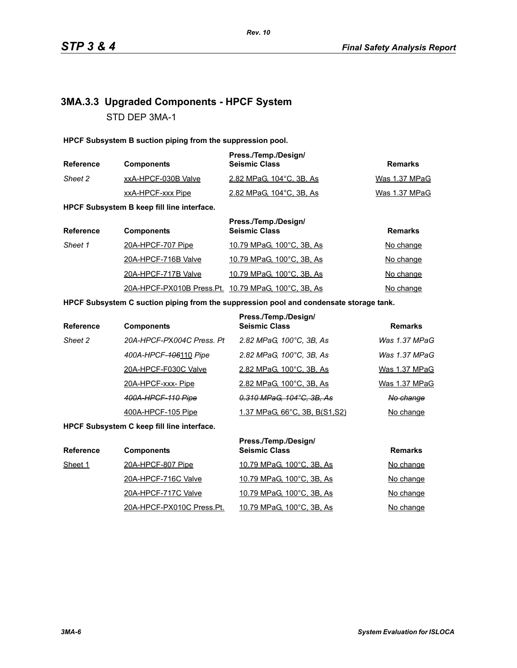# **3MA.3.3 Upgraded Components - HPCF System** STD DEP 3MA-1

**HPCF Subsystem B suction piping from the suppression pool.**

| <b>Reference</b> | <b>Components</b>   | Press./Temp./Design/<br><b>Seismic Class</b> | Remarks       |
|------------------|---------------------|----------------------------------------------|---------------|
| Sheet 2          | xxA-HPCF-030B Valve | 2.82 MPaG, 104°C, 3B, As                     | Was 1.37 MPaG |
|                  | xxA-HPCF-xxx Pipe   | 2.82 MPaG, 104°C, 3B, As                     | Was 1.37 MPaG |

**HPCF Subsystem B keep fill line interface.**

| <b>Reference</b> | <b>Components</b>                                   | Press./Temp./Design/<br><b>Seismic Class</b> | <b>Remarks</b> |
|------------------|-----------------------------------------------------|----------------------------------------------|----------------|
| Sheet 1          | 20A-HPCF-707 Pipe                                   | 10.79 MPaG, 100°C, 3B, As                    | No change      |
|                  | 20A-HPCF-716B Valve                                 | 10.79 MPaG, 100°C, 3B, As                    | No change      |
|                  | 20A-HPCF-717B Valve                                 | 10.79 MPaG, 100°C, 3B, As                    | No change      |
|                  | 20A-HPCF-PX010B Press.Pt. 10.79 MPaG, 100°C, 3B, As |                                              | No change      |

### **HPCF Subsystem C suction piping from the suppression pool and condensate storage tank.**

| <b>Reference</b> | <b>Components</b>         | Press./Temp./Design/<br><b>Seismic Class</b> | <b>Remarks</b> |
|------------------|---------------------------|----------------------------------------------|----------------|
| Sheet 2          | 20A-HPCF-PX004C Press, Pt | 2.82 MPaG, 100°C, 3B, As                     | Was 1.37 MPaG  |
|                  | 400A-HPCF-406110 Pipe     | 2.82 MPaG, 100°C, 3B, As                     | Was 1.37 MPaG  |
|                  | 20A-HPCF-F030C Valve      | 2.82 MPaG, 100°C, 3B, As                     | Was 1.37 MPaG  |
|                  | 20A-HPCF-xxx-Pipe         | 2.82 MPaG, 100°C, 3B, As                     | Was 1.37 MPaG  |
|                  | 400A-HPCF-110 Pipe        | 0.310 MPaG, 104°C, 3B, As                    | No change      |
|                  | 400A-HPCF-105 Pipe        | <u>1.37 MPaG, 66°C, 3B, B(S1,S2)</u>         | No change      |

**HPCF Subsystem C keep fill line interface.**

| <b>Reference</b> | <b>Components</b>         | Press./Temp./Design/<br><b>Seismic Class</b> | <b>Remarks</b> |
|------------------|---------------------------|----------------------------------------------|----------------|
| Sheet 1          | 20A-HPCF-807 Pipe         | 10.79 MPaG, 100°C, 3B, As                    | No change      |
|                  | 20A-HPCF-716C Valve       | 10.79 MPaG, 100°C, 3B, As                    | No change      |
|                  | 20A-HPCF-717C Valve       | 10.79 MPaG, 100°C, 3B, As                    | No change      |
|                  | 20A-HPCF-PX010C Press.Pt. | 10.79 MPaG, 100°C, 3B, As                    | No change      |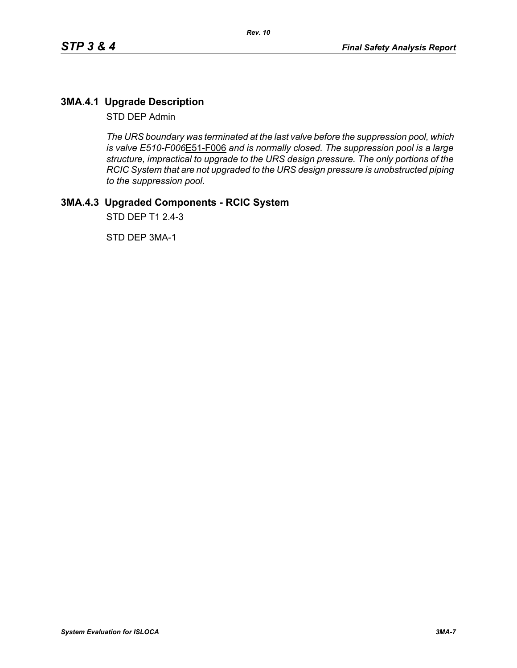# **3MA.4.1 Upgrade Description**

STD DEP Admin

*The URS boundary was terminated at the last valve before the suppression pool, which is valve E510-F006*E51-F006 *and is normally closed. The suppression pool is a large structure, impractical to upgrade to the URS design pressure. The only portions of the RCIC System that are not upgraded to the URS design pressure is unobstructed piping to the suppression pool.*

# **3MA.4.3 Upgraded Components - RCIC System**

STD DEP T1 2.4-3

STD DEP 3MA-1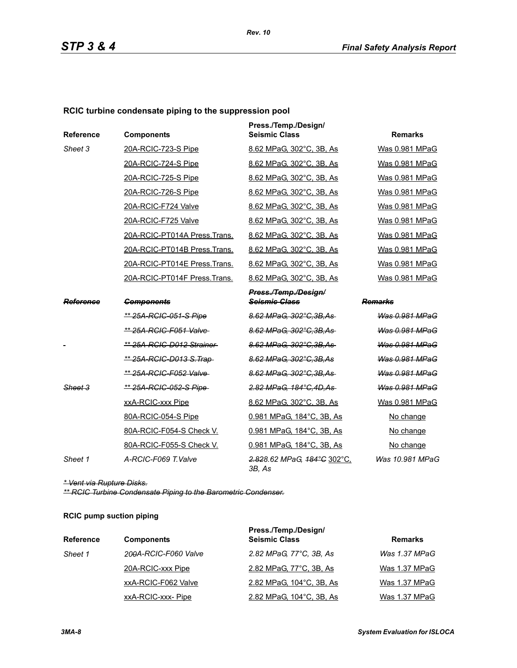### **RCIC turbine condensate piping to the suppression pool**

| Reference | <b>Components</b>              | Press./Temp./Design/<br><b>Seismic Class</b> | <b>Remarks</b>        |
|-----------|--------------------------------|----------------------------------------------|-----------------------|
| Sheet 3   | 20A-RCIC-723-S Pipe            | 8.62 MPaG, 302°C, 3B, As                     | Was 0.981 MPaG        |
|           | 20A-RCIC-724-S Pipe            | 8.62 MPaG, 302°C, 3B, As                     | Was 0.981 MPaG        |
|           | 20A-RCIC-725-S Pipe            | 8.62 MPaG, 302°C, 3B, As                     | Was 0.981 MPaG        |
|           | 20A-RCIC-726-S Pipe            | 8.62 MPaG, 302°C, 3B, As                     | Was 0.981 MPaG        |
|           | 20A-RCIC-F724 Valve            | 8.62 MPaG, 302°C, 3B, As                     | Was 0.981 MPaG        |
|           | 20A-RCIC-F725 Valve            | 8.62 MPaG, 302°C, 3B, As                     | Was 0.981 MPaG        |
|           | 20A-RCIC-PT014A Press.Trans.   | 8.62 MPaG, 302°C, 3B, As                     | Was 0.981 MPaG        |
|           | 20A-RCIC-PT014B Press.Trans.   | 8.62 MPaG, 302°C, 3B, As                     | Was 0.981 MPaG        |
|           | 20A-RCIC-PT014E Press.Trans.   | 8.62 MPaG, 302°C, 3B, As                     | Was 0.981 MPaG        |
|           | 20A-RCIC-PT014F Press.Trans.   | 8.62 MPaG, 302°C, 3B, As                     | Was 0.981 MPaG        |
|           |                                | Press./Temp./Design/                         |                       |
| Reference | <b>Components</b>              | <b>Seismic Class</b>                         | Remarks               |
|           | ** 25A-RCIC-051-S Pipe         | 8.62 MPaG, 302°C, 3B, As                     | <b>Was 0.981 MPaG</b> |
|           | <u>** 25A-RCIC-F051 Valve-</u> | 8.62 MPaG, 302°C, 3B, As                     | <b>Was 0.981 MPaG</b> |
|           | ** 25A-RCIC-D012 Strainer      | 8.62 MPaG, 302°C.3B.As                       | Was 0.981 MPaG        |
|           | ** 25A-RCIC-D013 S. Trap-      | 8.62 MPaG, 302°C, 3B, As                     | <b>Was 0.981 MPaG</b> |
|           | ** 25A-RCIC-F052 Valve-        | 8.62 MPaG, 302°C, 3B, As                     | Was 0.981 MPaG        |
| Sheet 3   | ** 25A-RCIC-052-S Pipe         | 2.82 MPaG, 184°C, 4D, As                     | Was 0.981 MPaG        |
|           | xxA-RCIC-xxx Pipe              | 8.62 MPaG, 302°C, 3B, As                     | Was 0.981 MPaG        |
|           | 80A-RCIC-054-S Pipe            | 0.981 MPaG, 184°C, 3B, As                    | No change             |
|           | 80A-RCIC-F054-S Check V.       | 0.981 MPaG, 184°C, 3B, As                    | No change             |
|           | 80A-RCIC-F055-S Check V.       | 0.981 MPaG, 184°C, 3B, As                    | No change             |
| Sheet 1   | A-RCIC-F069 T.Valve            | 2.828.62 MPaG, 184°C 302°C,<br>3B, As        | Was 10.981 MPaG       |

*\* Vent via Rupture Disks.*

*\*\* RCIC Turbine Condensate Piping to the Barometric Condenser.*

### **RCIC pump suction piping**

| <b>Reference</b> | <b>Components</b>    | Press./Temp./Design/<br><b>Seismic Class</b> | <b>Remarks</b> |
|------------------|----------------------|----------------------------------------------|----------------|
| Sheet 1          | 200A-RCIC-F060 Valve | 2.82 MPaG, 77°C, 3B, As                      | Was 1.37 MPaG  |
|                  | 20A-RCIC-xxx Pipe    | 2.82 MPaG, 77°C, 3B, As                      | Was 1.37 MPaG  |
|                  | xxA-RCIC-F062 Valve  | 2.82 MPaG, 104°C, 3B, As                     | Was 1.37 MPaG  |
|                  | xxA-RCIC-xxx-Pipe    | 2.82 MPaG, 104°C, 3B, As                     | Was 1.37 MPaG  |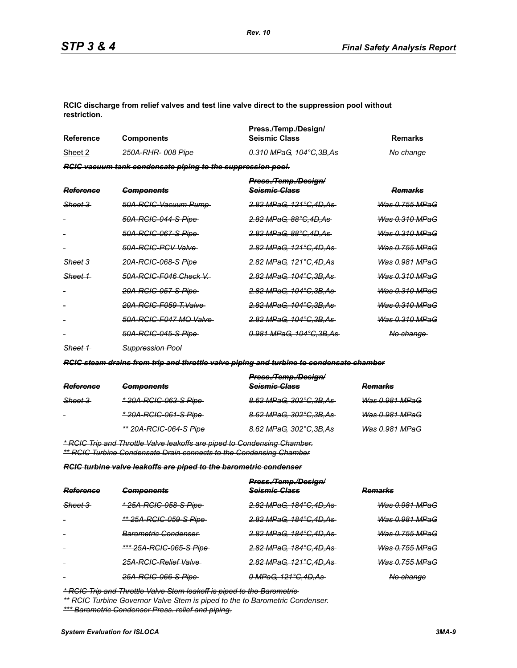**RCIC discharge from relief valves and test line valve direct to the suppression pool without restriction.**

| Reference | <b>Components</b>                                                  | Press./Temp./Design/<br><b>Seismic Class</b> | Remarks   |
|-----------|--------------------------------------------------------------------|----------------------------------------------|-----------|
| Sheet 2   | 250A-RHR- 008 Pipe                                                 | 0.310 MPaG. 104°C.3B.As                      | No change |
|           | <b>RGIC vacuum tank condensate piping to the suppression pool.</b> |                                              |           |

| <b>Reference</b>   | <b>Components</b>           | Press./Temp./Design/<br><del>Scismic Class</del> | <del>Remarks</del>        |
|--------------------|-----------------------------|--------------------------------------------------|---------------------------|
| <del>Sheet 3</del> | 50A-RCIC-Vacuum Pump-       | <u>2.82 MPaG. 121°C.4D.As</u>                    | <u>Was 0.755 MPaG</u>     |
|                    | <u>50A-RCIC-044-S Pipe-</u> | <del>2.82 MPaG. 88°C.4D.As</del>                 | <del>Was 0.310 MPaG</del> |
|                    | <u>50A-RCIC-067-S Pipe </u> | <del>2.82 MPaG. 88°C.4D.As</del>                 | <del>Was 0.310 MPaG</del> |
|                    | 50A-RGIG-PGV Valve          | <u>2.82 MPaG. 121°C.4D.As-</u>                   | <del>Was 0.755 MPaG</del> |
| <del>Sheet 3</del> | <u>20A-RCIC-068-S Pipe </u> | <del>2.82 MPaG. 121°C.4D.As-</del>               | <del>Was 0.981 MPaG</del> |
| Sheet 1            | 50A-RCIC-F046 Check V       | <del>2.82 MPaG, 104°C.3B.As-</del>               | Was 0.310 MPaG            |
|                    | <u>20A-RCIC-057-S Pipe </u> | <u>2.82 MPaG. 104°C.3B.As-</u>                   | <u>Was 0.310 MPaG</u>     |
|                    | 20A-RCIC-F059 T.Valve       | <del>2.82 MPaG, 104°C.3B.As -</del>              | <del>Was 0.310 MPaG</del> |
|                    | 50A-RCIC-F047 MO Valve      | <del>2.82 MPaG, 104°C.3B.As -</del>              | <del>Was 0.310 MPaG</del> |
|                    | <u>50A-RCIC-045-S Pipe-</u> | <u>0.981 MPaG. 104°C.3B.As-</u>                  | <del>No change</del>      |
|                    |                             |                                                  |                           |

*Sheet 1 Suppression Pool*

*RCIC steam drains from trip and throttle valve piping and turbine to condensate chamber*

|                    |                                | Press./Temp./Design/     |                |
|--------------------|--------------------------------|--------------------------|----------------|
| Reference          | <b>Components</b>              | Seismic Class            | <b>Remarks</b> |
| <del>Sheet 3</del> | <u>* 20A-RCIC-063-S Pipe</u>   | 8.62 MPaG, 302°C, 3B, As | Was 0.981 MPaG |
| $\sim$             | <u>* 20A-RCIC-061-S Pipe-</u>  | 8.62 MPaG, 302°C, 3B, As | Was 0.981 MPaG |
| $\blacksquare$     | <u>** 20A-RCIC-064-S Pipe-</u> | 8.62 MPaG, 302°C, 3B, As | Was 0.981 MPaG |
|                    |                                |                          |                |

*\* RCIC Trip and Throttle Valve leakoffs are piped to Condensing Chamber. \*\* RCIC Turbine Condensate Drain connects to the Condensing Chamber*

*RCIC turbine valve leakoffs are piped to the barometric condenser*

|           |                                 | Press./Temp./Design/     |                           |
|-----------|---------------------------------|--------------------------|---------------------------|
| Reference | <b>Components</b>               | Seismic Class            | <b>Remarks</b>            |
| Sheet 3   | * 25A-RCIC-058-S Pipe           | 2.82 MPaG, 184°C, 4D, As | <del>Was 0.981 MPaG</del> |
|           | ** 25A-RCIC-059-S Pipe          | 2.82 MPaG, 184°C, 4D, As | Was 0.981 MPaG            |
| $\sim$    | <del>Barometric Condenser</del> | 2.82 MPaG, 184°C, 4D, As | <del>Was 0.755 MPaG</del> |
| $\sim$    | *** 25A-RCIC-065-S Pipe         | 2.82 MPaG, 184°C, 4D, As | <b>Was 0.755 MPaG</b>     |
| $\sim$    | 25A-RCIC-Relief Valve           | 2.82 MPaG, 121°C,4D,As   | <b>Was 0.755 MPaG</b>     |
|           | 25A-RCIC-066-S Pipe-            | 0 MPaG, 121°C, 4D, As    | No change                 |

*\* RCIC Trip and Throttle Valve Stem leakoff is piped to the Barometric* 

*\*\* RCIC Turbine Governor Valve Stem is piped to the to Barometric Condenser. \*\*\* Barometric Condenser Press. relief and piping.*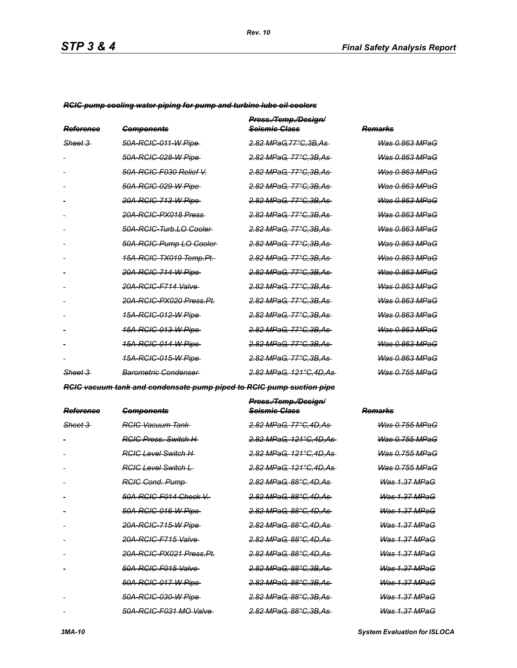*RCIC pump cooling water piping for pump and turbine lube oil coolers*

| Reference          | <b>Components</b>                   | Press./Temp./Design/<br><del>Scismic Class</del> | Remarks                   |
|--------------------|-------------------------------------|--------------------------------------------------|---------------------------|
| <del>Sheet 3</del> | 50A-RGIC-011-W Pipe                 | 2.82 MPaG.77°C.3B.As                             | Was 0.863 MPaG            |
|                    | 50A-RGIC-028-W Pipe                 | 2.82 MPaG, 77°C.3B.As                            | Was 0.863 MPaG            |
|                    | 50A-RCIC-F030 Relief V.             | <u>2.82 MPaG, 77°C,3B,As</u>                     | <del>Was 0.863 MPaG</del> |
|                    | 50A-RCIC-029-W Pipe                 | <u>2.82 MPaG, 77°C,3B,As</u>                     | Was 0.863 MPaG            |
|                    | 20A-RCIC-713-W Pipe                 | <del>2.82 MPaG, 77°C.3B.As</del>                 | <b>Was 0.863 MPaG</b>     |
|                    | 20A-RCIC-PX018 Press                | 2.82 MPaG, 77°C, 3B, As                          | Was 0.863 MPaG            |
|                    | 50A-RCIC-Turb.LO Cooler             | <u>2.82 MPaG, 77°C,3B,As</u>                     | <del>Was 0.863 MPaG</del> |
|                    | 50A-RCIC-Pump LO-Cooler-            | <u>2.82 MPaG, 77°C,3B,As-</u>                    | <del>Was 0.863 MPaG</del> |
|                    | <del>15A-RCIC-TX019 Temp.Pt.</del>  | <del>2.82 MPaG. 77°C.3B.As</del>                 | <del>Was 0.863 MPaG</del> |
|                    | <del>20A-RCIC-714-W Pipe</del>      | <u>2.82 MPaG, 77°C,3B,As-</u>                    | <del>Was 0.863 MPaG</del> |
|                    | <del>20A-RCIC-F714 Valve</del>      | <u>2.82 MPaG, 77°C,3B,As</u>                     | <del>Was 0.863 MPaG</del> |
|                    | <del>20A-RCIC-PX020 Press.Pt.</del> | <u>2.82 MPaG, 77°C,3B,As</u>                     | <del>Was 0.863 MPaG</del> |
|                    | <u>15A-RCIC-012-W Pipe </u>         | <u>2.82 MPaG, 77°C,3B,As</u>                     | <del>Was 0.863 MPaG</del> |
|                    | <u>15A-RCIC-013-W Pipe </u>         | <u>2.82 MPaG, 77°C,3B,As</u>                     | <del>Was 0.863 MPaG</del> |
|                    | <u>15A-RCIC-014-W Pipe</u>          | <del>2.82 MPaG, 77°C.3B.As</del>                 | <del>Was 0.863 MPaG</del> |
|                    | <u>15A-RCIC-015-W Pipe </u>         | <del>2.82 MPaG, 77°C.3B.As</del>                 | <del>Was 0.863 MPaG</del> |
| Sheet 3            | Barometric Condenser                | <del>2.82 MPaG. 121°C.4D.As-</del>               | Was 0.755 MPaG            |

*RCIC vacuum tank and condensate pump piped to RCIC pump suction pipe*

| <del>Reference</del> | <del>Components</del>               | Press./Temp./Design/<br><del>Seismic Class</del> | <del>Remarks</del>        |
|----------------------|-------------------------------------|--------------------------------------------------|---------------------------|
| <del>Sheet 3</del>   | <del>RCIC Vacuum Tank</del>         | <del>2.82 MPaG. 77°C.4D.As</del>                 | <u>Was 0.755 MPaG</u>     |
|                      | <b>RGIC Press. Switch H</b>         | <del>2.82 MPaG. 121°C.4D.As-</del>               | <b>Was 0.755 MPaG</b>     |
|                      | RGIG Level Switch H                 | <del>2.82 MPaG. 121°C.4D.As-</del>               | <u>Was 0.755 MPaG</u>     |
|                      | RGIC Level Switch L                 | <del>2.82 MPaG, 121°C,4D,As-</del>               | <del>Was 0.755 MPaG</del> |
|                      | <b>RGIG Cond. Pump</b>              | <del>2.82 MPaG. 88°C.4D.As-</del>                | Was 1.37 MPaG             |
|                      | <del>50A-RCIC-F014 Check V.-</del>  | <del>2.82 MPaG. 88°C.4D.As-</del>                | <b>Was 1.37 MPaG</b>      |
|                      | 50A-RCIC-016-W Pipe                 | <del>2.82 MPaG. 88°C.4D.As</del>                 | <b>Was 1.37 MPaG</b>      |
|                      | 20A-RCIC-715-W Pipe                 | <del>2.82 MPaG. 88°C.4D.As-</del>                | <b>Was 1.37 MPaG</b>      |
|                      | 20A-RCIC-F715 Valve                 | <del>2.82 MPaG, 88°C,4D,As-</del>                | Was 1.37 MPaG             |
|                      | <del>20A-RCIC-PX021 Press.Pt.</del> | <del>2.82 MPaG. 88°C.4D.As-</del>                | Was 1.37 MPaG             |
|                      | 50A-RCIC-F015 Valve                 | <del>2.82 MPaG. 88°C.3B.As-</del>                | Was 1.37 MPaG             |
|                      | 50A-RCIC-017-W Pipe                 | <del>2.82 MPaG. 88°C.3B.As-</del>                | <b>Was 1.37 MPaG</b>      |
|                      | 50A-RCIC-030-W Pipe                 | <del>2.82 MPaG. 88°C.3B.As-</del>                | <b>Was 1.37 MPaG</b>      |
|                      | 50A-RCIC-F031 MO Valve-             | <del>2.82 MPaG. 88°C.3B.As-</del>                | <b>Was 1.37 MPaG</b>      |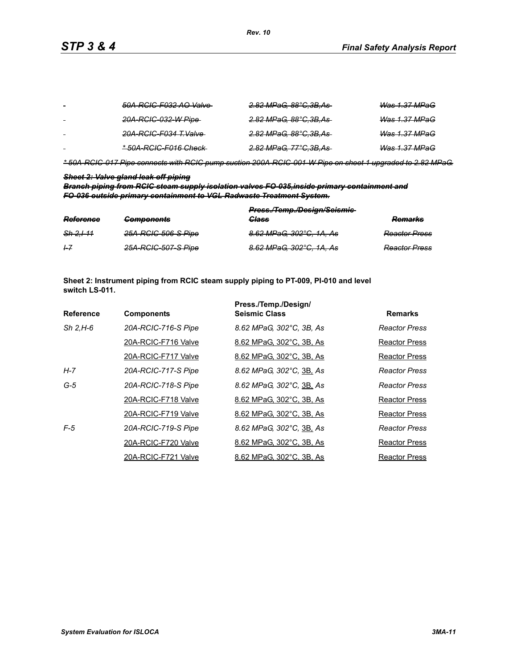| $\sim$ | 50A-RCIC-F032 AO Valve           | <del>2.82 MPaG, 88°C,3B,As-</del> | <b>Was 1.37 MPaG</b>     |
|--------|----------------------------------|-----------------------------------|--------------------------|
| $\sim$ | 20A-RCIC-032-W Pipe-             | <del>2.82 MPaG, 88°C,3B,As</del>  | <del>Was 1.37 MPaG</del> |
|        | <del>20A-RCIC-F034 T.Valve</del> | <del>2.82 MPaG, 88°C,3B,As-</del> | <del>Was 1.37 MPaG</del> |
| $\sim$ | *50A-RCIC-F016 Check-            | <del>2.82 MPaG, 77°C,3B,As</del>  | Was 1.37 MPaG            |

*\* 50A-RCIC-017 Pipe connects with RCIC pump suction 200A-RCIC-001-W Pipe on sheet 1 upgraded to 2.82 MPaG.*

### *Sheet 2: Valve gland leak off piping*

*Branch piping from RCIC steam supply isolation valves FO-035,inside primary containment and FO-036 outside primary containment to VGL Radwaste Treatment System.*

| Reference            | <b>Components</b>   | Press./Temp./Design/Seismie-<br>Class | <b>Domarke</b><br><del>numarn</del> a |
|----------------------|---------------------|---------------------------------------|---------------------------------------|
| <del>Sh 2.1-11</del> | 25A-RCIC-506-S Pipe | 8.62 MPaG, 302°C, 1A, As              | <b>Reactor Press</b>                  |
| $+7$                 | 25A-RCIC-507-S Pipe | 8.62 MPaG, 302°C, 1A, As              | <b>Reactor Press</b>                  |

**Sheet 2: Instrument piping from RCIC steam supply piping to PT-009, PI-010 and level switch LS-011.**

|                  |                     | Press./Temp./Design/     |                      |
|------------------|---------------------|--------------------------|----------------------|
| <b>Reference</b> | <b>Components</b>   | <b>Seismic Class</b>     | <b>Remarks</b>       |
| $Sh$ 2.H-6       | 20A-RCIC-716-S Pipe | 8.62 MPaG, 302°C, 3B, As | Reactor Press        |
|                  | 20A-RCIC-F716 Valve | 8.62 MPaG, 302°C, 3B, As | Reactor Press        |
|                  | 20A-RCIC-F717 Valve | 8.62 MPaG, 302°C, 3B, As | Reactor Press        |
| H-7              | 20A-RCIC-717-S Pipe | 8.62 MPaG, 302°C, 3B, As | <b>Reactor Press</b> |
| $G-5$            | 20A-RCIC-718-S Pipe | 8.62 MPaG, 302°C, 3B, As | Reactor Press        |
|                  | 20A-RCIC-F718 Valve | 8.62 MPaG, 302°C, 3B, As | Reactor Press        |
|                  | 20A-RCIC-F719 Valve | 8.62 MPaG, 302°C, 3B, As | Reactor Press        |
| $F-5$            | 20A-RCIC-719-S Pipe | 8.62 MPaG, 302°C, 3B, As | <b>Reactor Press</b> |
|                  | 20A-RCIC-F720 Valve | 8.62 MPaG, 302°C, 3B, As | <b>Reactor Press</b> |
|                  | 20A-RCIC-F721 Valve | 8.62 MPaG, 302°C, 3B, As | <b>Reactor Press</b> |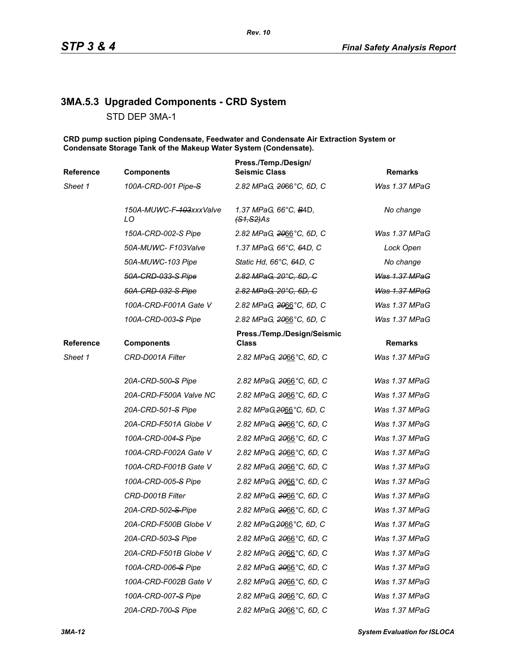# **3MA.5.3 Upgraded Components - CRD System**

STD DEP 3MA-1

**CRD pump suction piping Condensate, Feedwater and Condensate Air Extraction System or Condensate Storage Tank of the Makeup Water System (Condensate).**

| Reference | <b>Components</b>             | Press./Temp./Design/<br><b>Seismic Class</b>   | <b>Remarks</b>       |
|-----------|-------------------------------|------------------------------------------------|----------------------|
| Sheet 1   | 100A-CRD-001 Pipe-S           | 2.82 MPaG, 2066°C, 6D, C                       | Was 1.37 MPaG        |
|           | 150A-MUWC-F-103xxxValve<br>LO | 1.37 MPaG, 66°C, B4D,<br><del>(S1,S2)</del> As | No change            |
|           | 150A-CRD-002-S Pipe           | 2.82 MPaG, 2066°C, 6D, C                       | Was 1.37 MPaG        |
|           | 50A-MUWC- F103Valve           | 1.37 MPaG, 66°C, 64D, C                        | Lock Open            |
|           | 50A-MUWC-103 Pipe             | Static Hd, 66°C, 64D, C                        | No change            |
|           | 50A-CRD-033-S Pipe            | 2.82 MPaG, 20°C, 6D, C                         | Was 1.37 MPaG        |
|           | 50A-CRD-032-S Pipe            | 2.82 MPaG, 20°C, 6D, C                         | <b>Was 1.37 MPaG</b> |
|           | 100A-CRD-F001A Gate V         | 2.82 MPaG, 2066°C, 6D, C                       | Was 1.37 MPaG        |
|           | 100A-CRD-003-S Pipe           | 2.82 MPaG, 2066°C, 6D, C                       | Was 1.37 MPaG        |
| Reference | <b>Components</b>             | Press./Temp./Design/Seismic<br>Class           | <b>Remarks</b>       |
| Sheet 1   | CRD-D001A Filter              | 2.82 MPaG, 2066°C, 6D, C                       | Was 1.37 MPaG        |
|           | 20A-CRD-500-S Pipe            | 2.82 MPaG, 2066°C, 6D, C                       | Was 1.37 MPaG        |
|           | 20A-CRD-F500A Valve NC        | 2.82 MPaG, 2066°C, 6D, C                       | Was 1.37 MPaG        |
|           | 20A-CRD-501-S Pipe            | 2.82 MPaG, 2066°C, 6D, C                       | Was 1.37 MPaG        |
|           | 20A-CRD-F501A Globe V         | 2.82 MPaG, 2066°C, 6D, C                       | Was 1.37 MPaG        |
|           | 100A-CRD-004-S Pipe           | 2.82 MPaG, 2066°C, 6D, C                       | Was 1.37 MPaG        |
|           | 100A-CRD-F002A Gate V         | 2.82 MPaG, 2066°C, 6D, C                       | Was 1.37 MPaG        |
|           | 100A-CRD-F001B Gate V         | 2.82 MPaG, 2066°C, 6D, C                       | Was 1.37 MPaG        |
|           | 100A-CRD-005-S Pipe           | 2.82 MPaG, 2066°C, 6D, C                       | Was 1.37 MPaG        |
|           | CRD-D001B Filter              | 2.82 MPaG, 2066°C, 6D, C                       | Was 1.37 MPaG        |
|           | 20A-CRD-502-S-Pipe            | 2.82 MPaG, 2066°C, 6D, C                       | Was 1.37 MPaG        |
|           | 20A-CRD-F500B Globe V         | 2.82 MPaG, 2066°C, 6D, C                       | Was 1.37 MPaG        |
|           | 20A-CRD-503-S Pipe            | 2.82 MPaG, 2066°C, 6D, C                       | Was 1.37 MPaG        |
|           | 20A-CRD-F501B Globe V         | 2.82 MPaG, 2066°C, 6D, C                       | Was 1.37 MPaG        |
|           | 100A-CRD-006-S Pipe           | 2.82 MPaG, 2066°C, 6D, C                       | Was 1.37 MPaG        |
|           | 100A-CRD-F002B Gate V         | 2.82 MPaG, 2066°C, 6D, C                       | Was 1.37 MPaG        |
|           | 100A-CRD-007-S Pipe           | 2.82 MPaG, 2066°C, 6D, C                       | Was 1.37 MPaG        |
|           | 20A-CRD-700-S Pipe            | 2.82 MPaG, 2066°C, 6D, C                       | Was 1.37 MPaG        |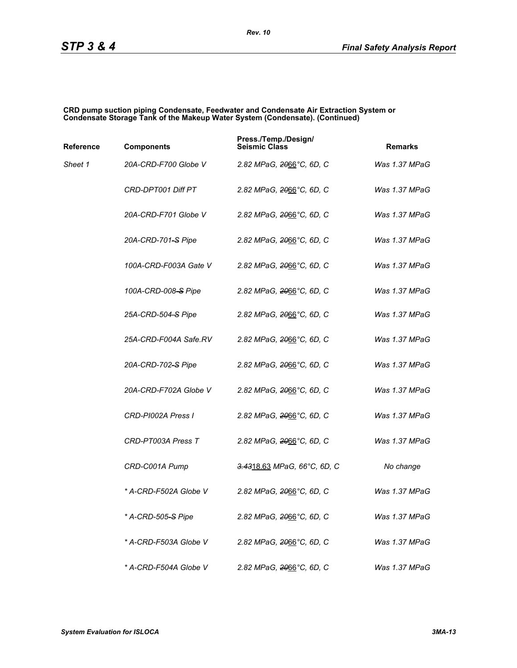#### **CRD pump suction piping Condensate, Feedwater and Condensate Air Extraction System or Condensate Storage Tank of the Makeup Water System (Condensate). (Continued)**

| Reference | <b>Components</b>     | Press./Temp./Design/<br><b>Seismic Class</b> | <b>Remarks</b> |
|-----------|-----------------------|----------------------------------------------|----------------|
| Sheet 1   | 20A-CRD-F700 Globe V  | 2.82 MPaG, 2066°C, 6D, C                     | Was 1.37 MPaG  |
|           | CRD-DPT001 Diff PT    | 2.82 MPaG, <del>20</del> 66°C, 6D, C         | Was 1.37 MPaG  |
|           | 20A-CRD-F701 Globe V  | 2.82 MPaG, 2066°C, 6D, C                     | Was 1.37 MPaG  |
|           | 20A-CRD-701-S Pipe    | 2.82 MPaG, <del>20</del> 66°C, 6D, C         | Was 1.37 MPaG  |
|           | 100A-CRD-F003A Gate V | 2.82 MPaG, 2066°C, 6D, C                     | Was 1.37 MPaG  |
|           | 100A-CRD-008-S Pipe   | 2.82 MPaG, 2066°C, 6D, C                     | Was 1.37 MPaG  |
|           | 25A-CRD-504-S Pipe    | 2.82 MPaG, 2066°C, 6D, C                     | Was 1.37 MPaG  |
|           | 25A-CRD-F004A Safe.RV | 2.82 MPaG, 2066°C, 6D, C                     | Was 1.37 MPaG  |
|           | 20A-CRD-702-S Pipe    | 2.82 MPaG, 2066°C, 6D, C                     | Was 1.37 MPaG  |
|           | 20A-CRD-F702A Globe V | 2.82 MPaG, 2066°C, 6D, C                     | Was 1.37 MPaG  |
|           | CRD-PI002A Press I    | 2.82 MPaG, 2066°C, 6D, C                     | Was 1.37 MPaG  |
|           | CRD-PT003A Press T    | 2.82 MPaG, 2066°C, 6D, C                     | Was 1.37 MPaG  |
|           | CRD-C001A Pump        | 3.4318.63 MPaG, 66°C, 6D, C                  | No change      |
|           | * A-CRD-F502A Globe V | 2.82 MPaG, <del>20</del> 66°C, 6D, C         | Was 1.37 MPaG  |
|           | * A-CRD-505–S Pipe    | 2.82 MPaG, 2066°C, 6D, C                     | Was 1.37 MPaG  |
|           | * A-CRD-F503A Globe V | 2.82 MPaG, 2066°C, 6D, C                     | Was 1.37 MPaG  |
|           | * A-CRD-F504A Globe V | 2.82 MPaG, 2066°C, 6D, C                     | Was 1.37 MPaG  |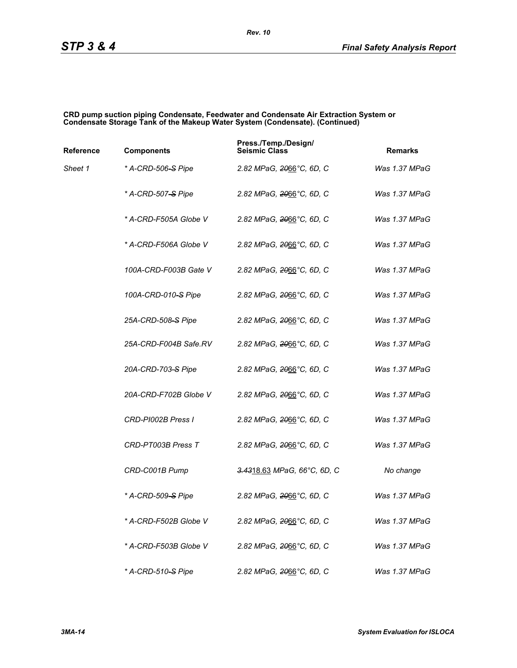#### **CRD pump suction piping Condensate, Feedwater and Condensate Air Extraction System or Condensate Storage Tank of the Makeup Water System (Condensate). (Continued)**

| Reference | <b>Components</b>              | Press./Temp./Design/<br><b>Seismic Class</b> | <b>Remarks</b> |
|-----------|--------------------------------|----------------------------------------------|----------------|
| Sheet 1   | * A-CRD-506-S Pipe             | 2.82 MPaG, <del>20</del> 66°C, 6D, C         | Was 1.37 MPaG  |
|           | * A-CRD-507 <del>-S</del> Pipe | 2.82 MPaG, 2066°C, 6D, C                     | Was 1.37 MPaG  |
|           | * A-CRD-F505A Globe V          | 2.82 MPaG, 2066°C, 6D, C                     | Was 1.37 MPaG  |
|           | * A-CRD-F506A Globe V          | 2.82 MPaG, 2066°C, 6D, C                     | Was 1.37 MPaG  |
|           | 100A-CRD-F003B Gate V          | 2.82 MPaG, 2066°C, 6D, C                     | Was 1.37 MPaG  |
|           | 100A-CRD-010-S Pipe            | 2.82 MPaG, <del>20</del> 66°C, 6D, C         | Was 1.37 MPaG  |
|           | 25A-CRD-508–S Pipe             | 2.82 MPaG, 2066°C, 6D, C                     | Was 1.37 MPaG  |
|           | 25A-CRD-F004B Safe.RV          | 2.82 MPaG, 2066°C, 6D, C                     | Was 1.37 MPaG  |
|           | 20A-CRD-703-S Pipe             | 2.82 MPaG, <del>20</del> 66°C, 6D, C         | Was 1.37 MPaG  |
|           | 20A-CRD-F702B Globe V          | 2.82 MPaG, <del>20</del> 66°C, 6D, C         | Was 1.37 MPaG  |
|           | CRD-PI002B Press I             | 2.82 MPaG, 2066°C, 6D, C                     | Was 1.37 MPaG  |
|           | CRD-PT003B Press T             | 2.82 MPaG, 2066°C, 6D, C                     | Was 1.37 MPaG  |
|           | CRD-C001B Pump                 | 3.4318.63 MPaG, 66°C, 6D, C                  | No change      |
|           | * A-CRD-509-S Pipe             | 2.82 MPaG, 2066°C, 6D, C                     | Was 1.37 MPaG  |
|           | * A-CRD-F502B Globe V          | 2.82 MPaG, 2066°C, 6D, C                     | Was 1.37 MPaG  |
|           | * A-CRD-F503B Globe V          | 2.82 MPaG, 2066°C, 6D, C                     | Was 1.37 MPaG  |
|           | * A-CRD-510 <del>-S</del> Pipe | 2.82 MPaG, 2066°C, 6D, C                     | Was 1.37 MPaG  |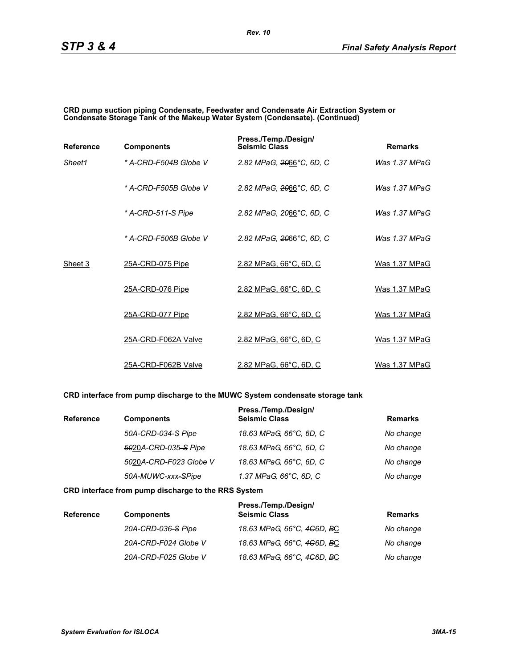#### **CRD pump suction piping Condensate, Feedwater and Condensate Air Extraction System or Condensate Storage Tank of the Makeup Water System (Condensate). (Continued)**

| <b>Reference</b> | <b>Components</b>     | Press./Temp./Design/<br><b>Seismic Class</b> | <b>Remarks</b>  |
|------------------|-----------------------|----------------------------------------------|-----------------|
| Sheet1           | * A-CRD-F504B Globe V | 2.82 MPaG, 2066°C, 6D, C                     | Was $1.37$ MPaG |
|                  | * A-CRD-F505B Globe V | 2.82 MPaG, 2066°C, 6D, C                     | Was 1.37 MPaG   |
|                  | * A-CRD-511–S Pipe    | 2.82 MPaG, 2066°C, 6D, C                     | Was 1.37 MPaG   |
|                  | * A-CRD-F506B Globe V | 2.82 MPaG, 2066°C, 6D, C                     | Was $1.37$ MPaG |
| Sheet 3          | 25A-CRD-075 Pipe      | 2.82 MPaG, 66°C, 6D, C                       | Was 1.37 MPaG   |
|                  | 25A-CRD-076 Pipe      | 2.82 MPaG, 66°C, 6D, C                       | Was 1.37 MPaG   |
|                  | 25A-CRD-077 Pipe      | 2.82 MPaG, 66°C, 6D, C                       | Was 1.37 MPaG   |
|                  | 25A-CRD-F062A Valve   | 2.82 MPaG, 66°C, 6D, C                       | Was 1.37 MPaG   |
|                  | 25A-CRD-F062B Valve   | 2.82 MPaG, 66°C, 6D, C                       | Was 1.37 MPaG   |

### **CRD interface from pump discharge to the MUWC System condensate storage tank**

| <b>Reference</b> | <b>Components</b>      | Press./Temp./Design/<br><b>Seismic Class</b> | <b>Remarks</b> |
|------------------|------------------------|----------------------------------------------|----------------|
|                  | 50A-CRD-034-S Pipe     | 18.63 MPaG, 66°C, 6D, C                      | No change      |
|                  | 5020A-CRD-035-S Pipe   | 18.63 MPaG, 66°C, 6D, C                      | No change      |
|                  | 5020A-CRD-F023 Globe V | 18.63 MPaG, 66°C, 6D, C                      | No change      |
|                  | 50A-MUWC-xxx-SPipe     | 1.37 MPaG, 66°C, 6D, C                       | No change      |

#### **CRD interface from pump discharge to the RRS System**

| <b>Reference</b> | <b>Components</b>    | Press./Temp./Design/<br><b>Seismic Class</b> | <b>Remarks</b> |
|------------------|----------------------|----------------------------------------------|----------------|
|                  | 20A-CRD-036-S Pipe   | 18.63 MPaG, 66°C, 4 <del>C</del> 6D, BC      | No change      |
|                  | 20A-CRD-F024 Globe V | 18.63 MPaG, 66°C, 4 <del>C</del> 6D, BC      | No change      |
|                  | 20A-CRD-F025 Globe V | 18.63 MPaG, 66°C, 4 <del>C</del> 6D, BC      | No change      |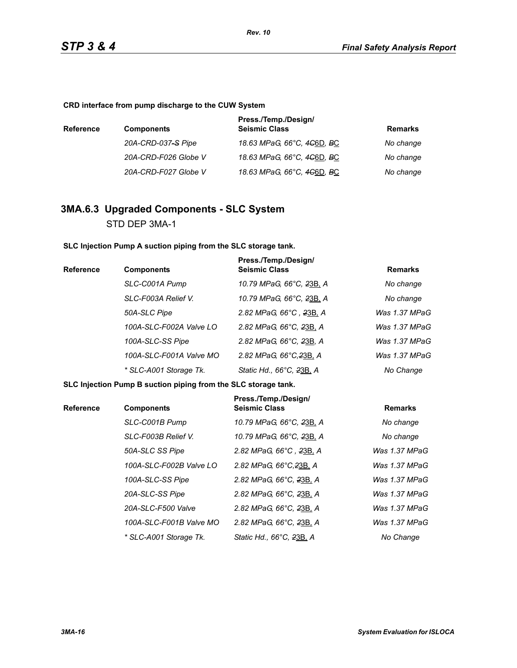**CRD interface from pump discharge to the CUW System**

| <b>Reference</b> | <b>Components</b>    | Press./Temp./Design/<br><b>Seismic Class</b>        | Remarks   |
|------------------|----------------------|-----------------------------------------------------|-----------|
|                  | 20A-CRD-037-S Pipe   | 18.63 MPaG, 66°C, 4 <del>C</del> 6D, <del>B</del> C | No change |
|                  | 20A-CRD-F026 Globe V | 18.63 MPaG, 66°C, 4 <del>C</del> 6D, <del>B</del> C | No change |
|                  | 20A-CRD-F027 Globe V | 18.63 MPaG, 66°C, 4 <del>C</del> 6D, BC             | No change |

# **3MA.6.3 Upgraded Components - SLC System** STD DEP 3MA-1

**SLC Injection Pump A suction piping from the SLC storage tank.**

| <b>Reference</b> | <b>Components</b>       | Press./Temp./Design/<br><b>Seismic Class</b> | <b>Remarks</b> |
|------------------|-------------------------|----------------------------------------------|----------------|
|                  | SLC-C001A Pump          | 10.79 MPaG, 66°C, 23B, A                     | No change      |
|                  | SLC-F003A Relief V.     | 10.79 MPaG, 66°C, 23B, A                     | No change      |
|                  | 50A-SLC Pipe            | 2.82 MPaG, 66°C, 23B, A                      | Was 1.37 MPaG  |
|                  | 100A-SLC-F002A Valve LO | 2.82 MPaG, 66°C, 23B, A                      | Was 1.37 MPaG  |
|                  | 100A-SLC-SS Pipe        | 2.82 MPaG, 66°C, 23B, A                      | Was 1.37 MPaG  |
|                  | 100A-SLC-F001A Valve MO | 2.82 MPaG, 66°C, 23B, A                      | Was 1.37 MPaG  |
|                  | * SLC-A001 Storage Tk.  | Static Hd., 66°C, 23B, A                     | No Change      |

**SLC Injection Pump B suction piping from the SLC storage tank.**

| <b>Reference</b> | <b>Components</b>       | Press./Temp./Design/<br><b>Seismic Class</b> | <b>Remarks</b> |
|------------------|-------------------------|----------------------------------------------|----------------|
|                  | SLC-C001B Pump          | 10.79 MPaG, 66°C, 23B, A                     | No change      |
|                  | SLC-F003B Relief V.     | 10.79 MPaG, 66°C, 23B, A                     | No change      |
|                  | 50A-SLC SS Pipe         | 2.82 MPaG, 66°C, 23B, A                      | Was 1.37 MPaG  |
|                  | 100A-SLC-F002B Valve LO | 2.82 MPaG, 66°C, 23B, A                      | Was 1.37 MPaG  |
|                  | 100A-SLC-SS Pipe        | 2.82 MPaG, 66°C, 23B, A                      | Was 1.37 MPaG  |
|                  | 20A-SLC-SS Pipe         | 2.82 MPaG, 66°C, 23B, A                      | Was 1.37 MPaG  |
|                  | 20A-SLC-F500 Valve      | 2.82 MPaG, 66°C, 23B, A                      | Was 1.37 MPaG  |
|                  | 100A-SLC-F001B Valve MO | 2.82 MPaG, 66°C, 23B, A                      | Was 1.37 MPaG  |
|                  | * SLC-A001 Storage Tk.  | Static Hd., 66°C, 23B, A                     | No Change      |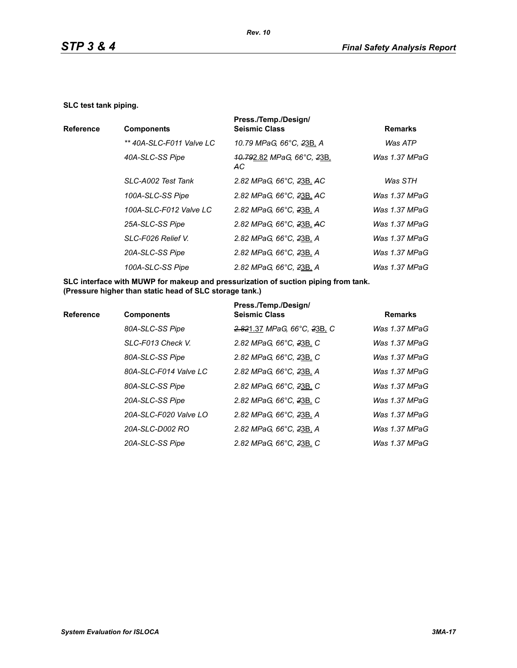#### **SLC test tank piping.**

|                  |                          | Press./Temp./Design/                                            |                 |
|------------------|--------------------------|-----------------------------------------------------------------|-----------------|
| <b>Reference</b> | <b>Components</b>        | <b>Seismic Class</b>                                            | <b>Remarks</b>  |
|                  | ** 40A-SLC-F011 Valve LC | 10.79 MPaG, 66°C, 23B, A                                        | Was ATP         |
|                  | 40A-SLC-SS Pipe          | <del>.10.79</del> 2.82 <i>MPaG, 66°C, <del>2</del>3B</i><br>AC. | Was 1.37 MPaG   |
|                  | SLC-A002 Test Tank       | 2.82 MPaG, 66°C, 23B, AC                                        | Was STH         |
|                  | 100A-SLC-SS Pipe         | 2.82 MPaG, 66°C, 23B, AC                                        | Was 1.37 MPaG   |
|                  | 100A-SLC-F012 Valve LC   | 2.82 MPaG, 66°C, 23B, A                                         | Was 1.37 MPaG   |
|                  | 25A-SLC-SS Pipe          | 2.82 MPaG, 66°C, 23B, AC                                        | Was 1.37 MPaG   |
|                  | SLC-F026 Relief V.       | 2.82 MPaG, 66°C, 23B, A                                         | Was $1.37$ MPaG |
|                  | 20A-SLC-SS Pipe          | 2.82 MPaG, 66°C, 23B, A                                         | Was 1.37 MPaG   |
|                  | 100A-SLC-SS Pipe         | 2.82 MPaG, 66°C, 23B, A                                         | Was $1.37$ MPaG |
|                  |                          |                                                                 |                 |

**SLC interface with MUWP for makeup and pressurization of suction piping from tank. (Pressure higher than static head of SLC storage tank.)**

| <b>Reference</b> | <b>Components</b>     | Press./Temp./Design/<br><b>Seismic Class</b> | <b>Remarks</b> |
|------------------|-----------------------|----------------------------------------------|----------------|
|                  | 80A-SLC-SS Pipe       | 2.821.37 MPaG, 66°C, 23B, C                  | Was 1.37 MPaG  |
|                  | SLC-F013 Check V.     | 2.82 MPaG, 66°C, 23B, C                      | Was 1.37 MPaG  |
|                  | 80A-SLC-SS Pipe       | 2.82 MPaG, 66°C, 23B, C                      | Was 1.37 MPaG  |
|                  | 80A-SLC-F014 Valve LC | 2.82 MPaG, 66°C, 23B, A                      | Was 1.37 MPaG  |
|                  | 80A-SLC-SS Pipe       | 2.82 MPaG, 66°C, 23B, C                      | Was 1.37 MPaG  |
|                  | 20A-SLC-SS Pipe       | 2.82 MPaG, 66°C, 23B, C                      | Was 1.37 MPaG  |
|                  | 20A-SLC-F020 Valve LO | 2.82 MPaG, 66°C, 23B, A                      | Was 1.37 MPaG  |
|                  | 20A-SLC-D002 RO       | 2.82 MPaG, 66°C, 23B, A                      | Was 1.37 MPaG  |
|                  | 20A-SLC-SS Pipe       | 2.82 MPaG, 66°C, 23B, C                      | Was 1.37 MPaG  |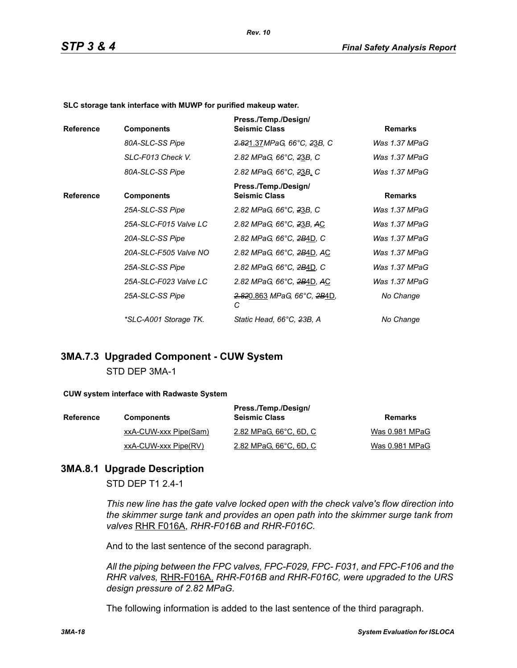*Rev. 10*

**SLC storage tank interface with MUWP for purified makeup water.**

| <b>Reference</b> | <b>Components</b>     | Press./Temp./Design/<br><b>Seismic Class</b> | <b>Remarks</b> |
|------------------|-----------------------|----------------------------------------------|----------------|
|                  | 80A-SLC-SS Pipe       | 2.821.37MPaG, 66°C, 23B, C                   | Was 1.37 MPaG  |
|                  | SLC-F013 Check V.     | 2.82 MPaG, 66°C, 23B, C                      | Was 1.37 MPaG  |
|                  | 80A-SLC-SS Pipe       | 2.82 MPaG, 66°C, 23B, C                      | Was 1.37 MPaG  |
| <b>Reference</b> | <b>Components</b>     | Press./Temp./Design/<br><b>Seismic Class</b> | <b>Remarks</b> |
|                  | 25A-SLC-SS Pipe       | 2.82 MPaG, 66°C, 23B, C                      | Was 1.37 MPaG  |
|                  | 25A-SLC-F015 Valve LC | 2.82 MPaG, 66°C, 23B, AC                     | Was 1.37 MPaG  |
|                  | 20A-SLC-SS Pipe       | 2.82 MPaG, 66°C, 2B4D, C                     | Was 1.37 MPaG  |
|                  | 20A-SLC-F505 Valve NO | 2.82 MPaG, 66°C, 2B4D, AC                    | Was 1.37 MPaG  |
|                  | 25A-SLC-SS Pipe       | 2.82 MPaG, 66°C, 2B4D, C                     | Was 1.37 MPaG  |
|                  | 25A-SLC-F023 Valve LC | 2.82 MPaG, 66°C, 2B4D, AC                    | Was 1.37 MPaG  |
|                  | 25A-SLC-SS Pipe       | <del>2.82</del> 0.863 MPaG, 66°C, 2B4D,<br>С | No Change      |
|                  | *SLC-A001 Storage TK. | Static Head, 66°C, 23B, A                    | No Change      |

# **3MA.7.3 Upgraded Component - CUW System** STD DEP 3MA-1

#### **CUW system interface with Radwaste System**

| <b>Reference</b> | <b>Components</b>     | Press./Temp./Design/<br><b>Seismic Class</b> | Remarks        |
|------------------|-----------------------|----------------------------------------------|----------------|
|                  | xxA-CUW-xxx Pipe(Sam) | 2.82 MPaG, 66°C, 6D, C                       | Was 0.981 MPaG |
|                  | xxA-CUW-xxx Pipe(RV)  | 2.82 MPaG, 66°C, 6D, C                       | Was 0.981 MPaG |

### **3MA.8.1 Upgrade Description**

STD DEP T1 2.4-1

*This new line has the gate valve locked open with the check valve's flow direction into the skimmer surge tank and provides an open path into the skimmer surge tank from valves* RHR F016A, *RHR-F016B and RHR-F016C.*

And to the last sentence of the second paragraph.

*All the piping between the FPC valves, FPC-F029, FPC- F031, and FPC-F106 and the RHR valves,* RHR-F016A, *RHR-F016B and RHR-F016C, were upgraded to the URS design pressure of 2.82 MPaG.*

The following information is added to the last sentence of the third paragraph.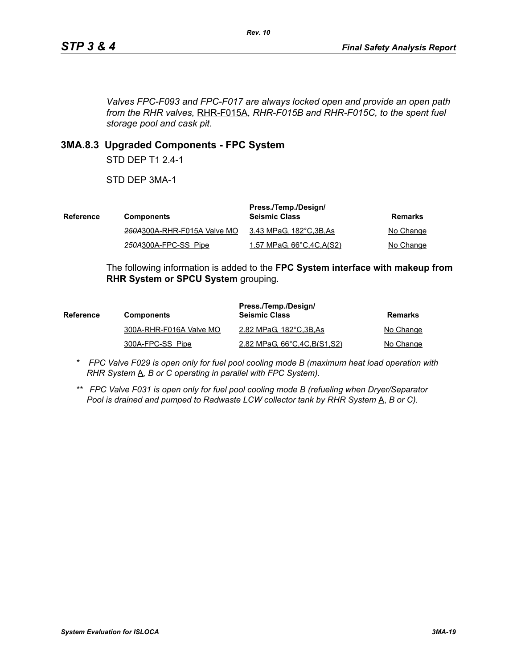*Valves FPC-F093 and FPC-F017 are always locked open and provide an open path from the RHR valves,* RHR-F015A, *RHR-F015B and RHR-F015C, to the spent fuel storage pool and cask pit.*

# **3MA.8.3 Upgraded Components - FPC System**

STD DEP T1 2.4-1

STD DEP 3MA-1

| Reference | <b>Components</b>           | Press./Temp./Design/<br><b>Seismic Class</b> | Remarks   |
|-----------|-----------------------------|----------------------------------------------|-----------|
|           | 250A300A-RHR-F015A Valve MO | 3.43 MPaG, 182°C,3B,As                       | No Change |
|           | 250A300A-FPC-SS Pipe        | 1.57 MPaG, $66^{\circ}$ C, 4C, A(S2)         | No Change |

The following information is added to the **FPC System interface with makeup from RHR System or SPCU System** grouping.

| <b>Reference</b> | <b>Components</b>       | Press./Temp./Design/<br><b>Seismic Class</b> | Remarks   |
|------------------|-------------------------|----------------------------------------------|-----------|
|                  | 300A-RHR-F016A Valve MO | 2.82 MPaG, 182°C, 3B, As                     | No Change |
|                  | 300A-FPC-SS Pipe        | 2.82 MPaG, 66°C, 4C, B(S1, S2)               | No Change |

- *\* FPC Valve F029 is open only for fuel pool cooling mode B (maximum heat load operation with RHR System*  $\underline{A}$ *, B or C operating in parallel with FPC System).*
- *\*\* FPC Valve F031 is open only for fuel pool cooling mode B (refueling when Dryer/Separator Pool is drained and pumped to Radwaste LCW collector tank by RHR System* A, *B or C).*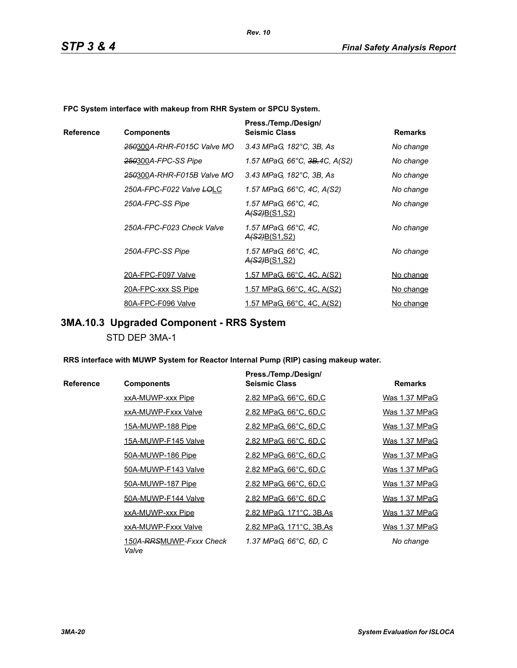**FPC System interface with makeup from RHR System or SPCU System.**

|           |                            | Press./Temp./Design/                         |                |
|-----------|----------------------------|----------------------------------------------|----------------|
| Reference | <b>Components</b>          | <b>Seismic Class</b>                         | <b>Remarks</b> |
|           | 250300A-RHR-F015C Valve MO | 3.43 MPaG, 182°C, 3B, As                     | No change      |
|           | 250300A-FPC-SS Pipe        | 1.57 MPaG, 66°C, <del>3B,</del> 4C, A(S2)    | No change      |
|           | 250300A-RHR-F015B Valve MO | 3.43 MPaG, 182°C, 3B, As                     | No change      |
|           | 250A-FPC-F022 Valve LOLC   | 1.57 MPaG, 66°C, 4C, A(S2)                   | No change      |
|           | 250A-FPC-SS Pipe           | 1.57 MPaG, 66°C, 4C,<br><u>A(S2)B(S1,S2)</u> | No change      |
|           | 250A-FPC-F023 Check Valve  | 1.57 MPaG, 66°C, 4C,<br><u>A(S2)B(S1,S2)</u> | No change      |
|           | 250A-FPC-SS Pipe           | 1.57 MPaG, 66°C, 4C,<br><u>A(S2)B(S1,S2)</u> | No change      |
|           | 20A-FPC-F097 Valve         | <u>1.57 MPaG, 66°C, 4C, A(S2)</u>            | No change      |
|           | 20A-FPC-xxx SS Pipe        | <u>1.57 MPaG, 66°C, 4C, A(S2)</u>            | No change      |
|           | 80A-FPC-F096 Valve         | 1.57 MPaG, 66°C, 4C, A(S2)                   | No change      |

# **3MA.10.3 Upgraded Component - RRS System**

STD DEP 3MA-1

**RRS interface with MUWP System for Reactor Internal Pump (RIP) casing makeup water.**

|           |                                  | Press./Temp./Design/     |                |
|-----------|----------------------------------|--------------------------|----------------|
| Reference | <b>Components</b>                | <b>Seismic Class</b>     | <b>Remarks</b> |
|           | xxA-MUWP-xxx Pipe                | 2.82 MPaG, 66°C, 6D,C    | Was 1.37 MPaG  |
|           | xxA-MUWP-Fxxx Valve              | 2.82 MPaG, 66°C, 6D,C    | Was 1.37 MPaG  |
|           | 15A-MUWP-188 Pipe                | 2.82 MPaG, 66°C, 6D,C    | Was 1.37 MPaG  |
|           | 15A-MUWP-F145 Valve              | 2.82 MPaG, 66°C, 6D,C    | Was 1.37 MPaG  |
|           | 50A-MUWP-186 Pipe                | 2.82 MPaG, 66°C, 6D,C    | Was 1.37 MPaG  |
|           | 50A-MUWP-F143 Valve              | 2.82 MPaG, 66°C, 6D,C    | Was 1.37 MPaG  |
|           | 50A-MUWP-187 Pipe                | 2.82 MPaG, 66°C, 6D,C    | Was 1.37 MPaG  |
|           | 50A-MUWP-F144 Valve              | 2.82 MPaG, 66°C, 6D,C    | Was 1.37 MPaG  |
|           | xxA-MUWP-xxx Pipe                | 2.82 MPaG, 171°C, 3B, As | Was 1.37 MPaG  |
|           | xxA-MUWP-Fxxx Valve              | 2.82 MPaG, 171°C, 3B, As | Was 1.37 MPaG  |
|           | 150A-RRSMUWP-Fxxx Check<br>Valve | 1.37 MPaG, 66°C, 6D, C   | No change      |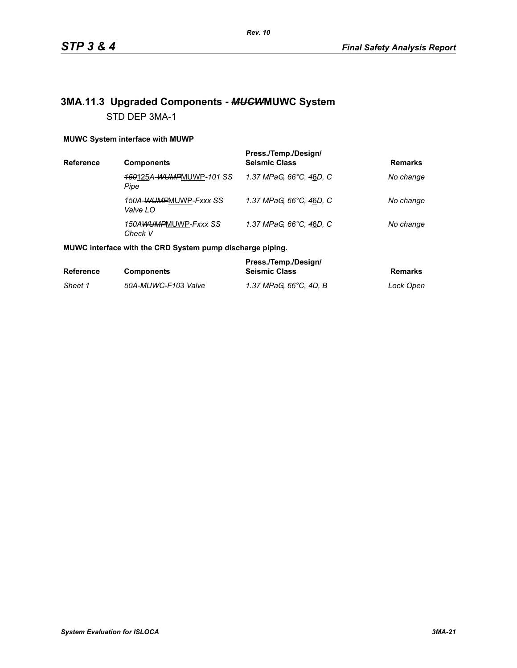# **3MA.11.3 Upgraded Components -** *MUCW***MUWC System** STD DEP 3MA-1

### **MUWC System interface with MUWP**

| Reference | <b>Components</b>                 | Press./Temp./Design/<br><b>Seismic Class</b> | <b>Remarks</b> |
|-----------|-----------------------------------|----------------------------------------------|----------------|
|           | 150125A-WUMPMUWP-101 SS<br>Pipe   | 1.37 MPaG. 66°C. 46D. C                      | No change      |
|           | 150A-WUMPMUWP-Fxxx SS<br>Valve LO | 1.37 MPaG, 66°C, 46D, C                      | No change      |
|           | 150AWUMPMUWP-Fxxx SS<br>Check V   | 1.37 MPaG, 66°C, 46D, C                      | No change      |

### **MUWC interface with the CRD System pump discharge piping.**

|                  |                     | Press./Temp./Design/   |           |
|------------------|---------------------|------------------------|-----------|
| <b>Reference</b> | <b>Components</b>   | <b>Seismic Class</b>   | Remarks   |
| Sheet 1          | 50A-MUWC-F103 Valve | 1.37 MPaG. 66°C. 4D. B | Lock Open |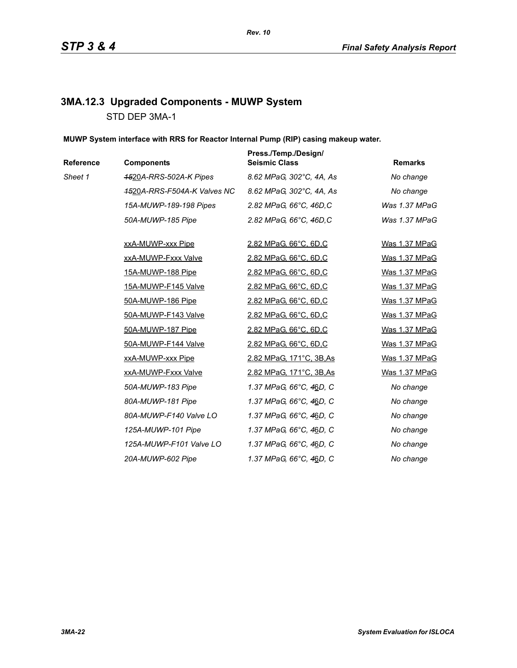# **3MA.12.3 Upgraded Components - MUWP System** STD DEP 3MA-1

**MUWP System interface with RRS for Reactor Internal Pump (RIP) casing makeup water.**

| Reference | <b>Components</b>           | Press./Temp./Design/<br><b>Seismic Class</b> | <b>Remarks</b> |
|-----------|-----------------------------|----------------------------------------------|----------------|
| Sheet 1   | 4520A-RRS-502A-K Pipes      | 8.62 MPaG, 302°C, 4A, As                     | No change      |
|           | 4520A-RRS-F504A-K Valves NC | 8.62 MPaG, 302°C, 4A, As                     | No change      |
|           | 15A-MUWP-189-198 Pipes      | 2.82 MPaG, 66°C, 46D,C                       | Was 1.37 MPaG  |
|           | 50A-MUWP-185 Pipe           | 2.82 MPaG, 66°C, 46D,C                       | Was 1.37 MPaG  |
|           | xxA-MUWP-xxx Pipe           | 2.82 MPaG, 66°C, 6D,C                        | Was 1.37 MPaG  |
|           | xxA-MUWP-Fxxx Valve         | 2.82 MPaG, 66°C, 6D,C                        | Was 1.37 MPaG  |
|           | <u>15A-MUWP-188 Pipe</u>    | 2.82 MPaG, 66°C, 6D,C                        | Was 1.37 MPaG  |
|           | 15A-MUWP-F145 Valve         | 2.82 MPaG, 66°C, 6D,C                        | Was 1.37 MPaG  |
|           | 50A-MUWP-186 Pipe           | 2.82 MPaG, 66°C, 6D,C                        | Was 1.37 MPaG  |
|           | 50A-MUWP-F143 Valve         | 2.82 MPaG, 66°C, 6D,C                        | Was 1.37 MPaG  |
|           | 50A-MUWP-187 Pipe           | 2.82 MPaG, 66°C, 6D,C                        | Was 1.37 MPaG  |
|           | 50A-MUWP-F144 Valve         | 2.82 MPaG, 66°C, 6D,C                        | Was 1.37 MPaG  |
|           | xxA-MUWP-xxx Pipe           | 2.82 MPaG, 171°C, 3B, As                     | Was 1.37 MPaG  |
|           | xxA-MUWP-Fxxx Valve         | 2.82 MPaG, 171°C, 3B, As                     | Was 1.37 MPaG  |
|           | 50A-MUWP-183 Pipe           | 1.37 MPaG, 66°C, 46D, C                      | No change      |
|           | 80A-MUWP-181 Pipe           | 1.37 MPaG, 66°C, 46D, C                      | No change      |
|           | 80A-MUWP-F140 Valve LO      | 1.37 MPaG, 66°C, 46D, C                      | No change      |
|           | 125A-MUWP-101 Pipe          | 1.37 MPaG, 66°C, 46D, C                      | No change      |
|           | 125A-MUWP-F101 Valve LO     | 1.37 MPaG, 66°C, 46D, C                      | No change      |
|           | 20A-MUWP-602 Pipe           | 1.37 MPaG, 66°C, 4 <u>6</u> D, C             | No change      |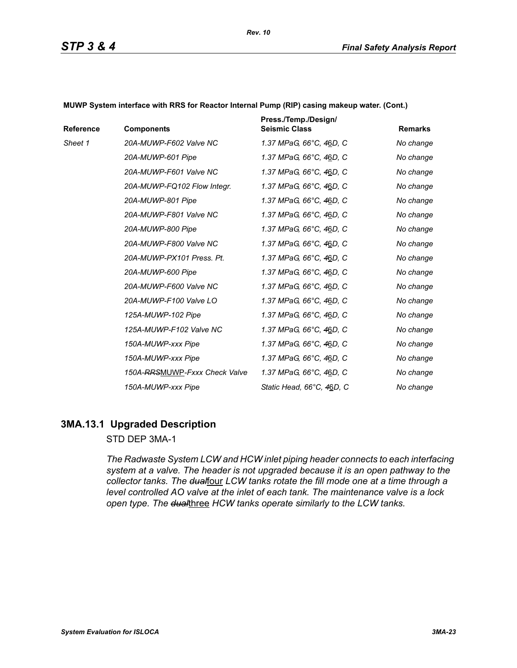| Reference | <b>Components</b>             | Press./Temp./Design/<br><b>Seismic Class</b> | <b>Remarks</b> |
|-----------|-------------------------------|----------------------------------------------|----------------|
| Sheet 1   | 20A-MUWP-F602 Valve NC        | 1.37 MPaG, 66°C, 46D, C                      | No change      |
|           | 20A-MUWP-601 Pipe             | 1.37 MPaG, 66°C, 46D, C                      | No change      |
|           | 20A-MUWP-F601 Valve NC        | 1.37 MPaG, 66°C, 46D, C                      | No change      |
|           | 20A-MUWP-FQ102 Flow Integr.   | 1.37 MPaG, 66°C, 46D, C                      | No change      |
|           | 20A-MUWP-801 Pipe             | 1.37 MPaG, 66°C, 46D, C                      | No change      |
|           | 20A-MUWP-F801 Valve NC        | 1.37 MPaG, 66°C, 46D, C                      | No change      |
|           | 20A-MUWP-800 Pipe             | 1.37 MPaG, 66°C, 46D, C                      | No change      |
|           | 20A-MUWP-F800 Valve NC        | 1.37 MPaG, 66°C, 46D, C                      | No change      |
|           | 20A-MUWP-PX101 Press, Pt.     | 1.37 MPaG, 66°C, 46D, C                      | No change      |
|           | 20A-MUWP-600 Pipe             | 1.37 MPaG, 66°C, 46D, C                      | No change      |
|           | 20A-MUWP-F600 Valve NC        | 1.37 MPaG, 66°C, 46D, C                      | No change      |
|           | 20A-MUWP-F100 Valve LO        | 1.37 MPaG, 66°C, 46D, C                      | No change      |
|           | 125A-MUWP-102 Pipe            | 1.37 MPaG, 66°C, 46D, C                      | No change      |
|           | 125A-MUWP-F102 Valve NC       | 1.37 MPaG, 66°C, 46D, C                      | No change      |
|           | 150A-MUWP-xxx Pipe            | 1.37 MPaG, 66°C, 46D, C                      | No change      |
|           | 150A-MUWP-xxx Pipe            | 1.37 MPaG, 66°C, 46D, C                      | No change      |
|           | 150A-RRSMUWP-Fxxx Check Valve | 1.37 MPaG, 66°C, 46D, C                      | No change      |
|           | 150A-MUWP-xxx Pipe            | Static Head, 66°C, 46D, C                    | No change      |

**MUWP System interface with RRS for Reactor Internal Pump (RIP) casing makeup water. (Cont.)**

## **3MA.13.1 Upgraded Description**

### STD DEP 3MA-1

*The Radwaste System LCW and HCW inlet piping header connects to each interfacing system at a valve. The header is not upgraded because it is an open pathway to the*  collector tanks. The dualfour LCW tanks rotate the fill mode one at a time through a *level controlled AO valve at the inlet of each tank. The maintenance valve is a lock open type. The dual*three *HCW tanks operate similarly to the LCW tanks.*